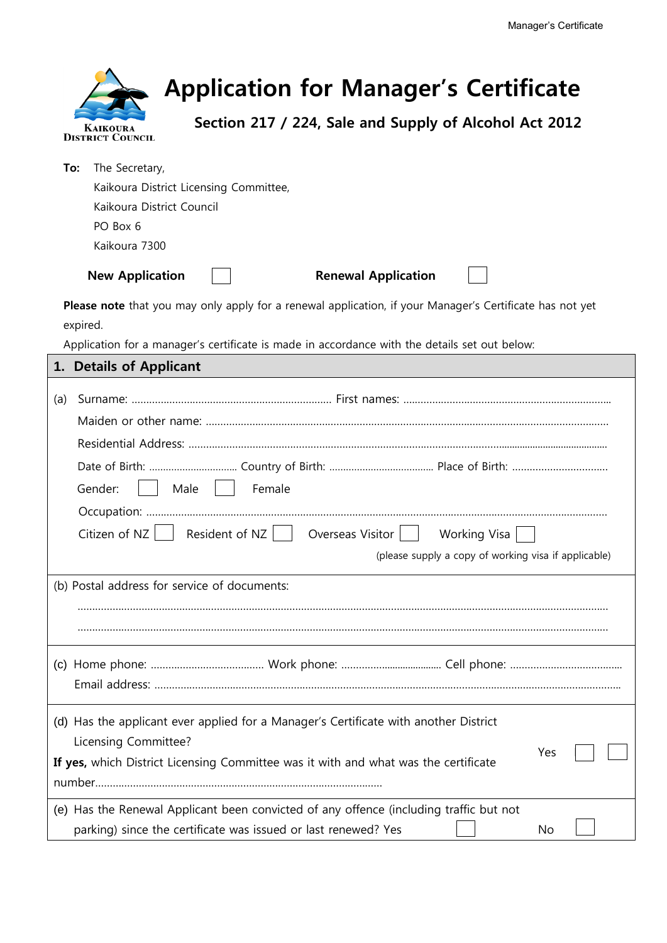| <b>Application for Manager's Certificate</b><br>Section 217 / 224, Sale and Supply of Alcohol Act 2012<br><b>KAIKOURA</b><br><b>DISTRICT COUNCIL</b>                                                                  |
|-----------------------------------------------------------------------------------------------------------------------------------------------------------------------------------------------------------------------|
| The Secretary,<br>To:<br>Kaikoura District Licensing Committee,<br>Kaikoura District Council<br>PO Box 6<br>Kaikoura 7300                                                                                             |
| <b>New Application</b><br><b>Renewal Application</b>                                                                                                                                                                  |
| Please note that you may only apply for a renewal application, if your Manager's Certificate has not yet<br>expired.<br>Application for a manager's certificate is made in accordance with the details set out below: |
| 1. Details of Applicant                                                                                                                                                                                               |
| (a)                                                                                                                                                                                                                   |
| Gender:<br>Female<br>Male                                                                                                                                                                                             |
| Resident of NZ<br>Citizen of NZ<br>Overseas Visitor<br>Working Visa<br>(please supply a copy of working visa if applicable)                                                                                           |
| (b) Postal address for service of documents:                                                                                                                                                                          |
|                                                                                                                                                                                                                       |
| (d) Has the applicant ever applied for a Manager's Certificate with another District<br>Licensing Committee?<br>Yes<br>If yes, which District Licensing Committee was it with and what was the certificate            |
| (e) Has the Renewal Applicant been convicted of any offence (including traffic but not<br>parking) since the certificate was issued or last renewed? Yes<br>No                                                        |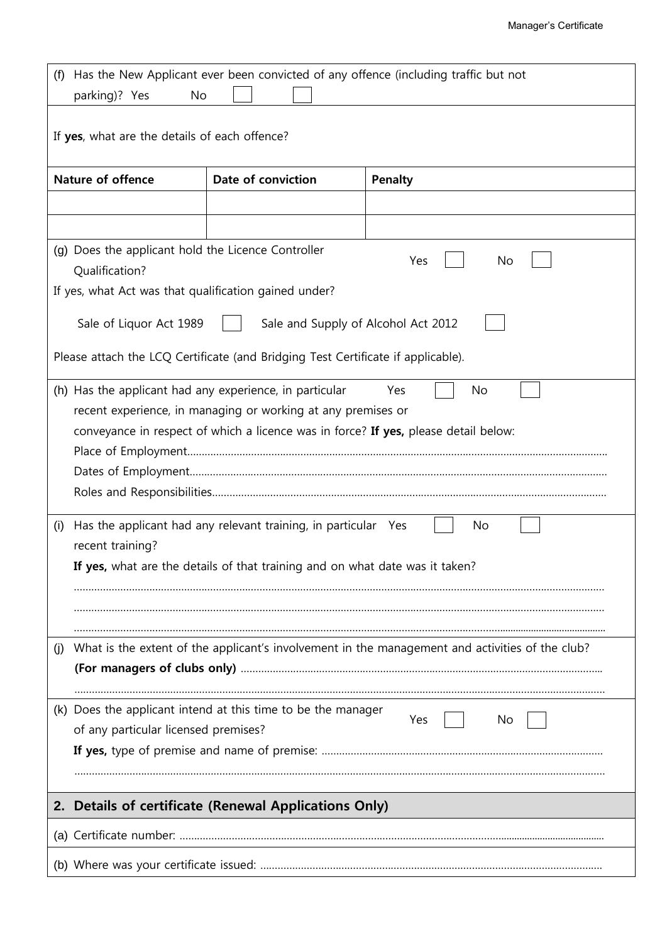| Has the New Applicant ever been convicted of any offence (including traffic but not<br>(f)<br>parking)? Yes<br>No                                                                                                           |                                                                                  |                |  |  |  |  |
|-----------------------------------------------------------------------------------------------------------------------------------------------------------------------------------------------------------------------------|----------------------------------------------------------------------------------|----------------|--|--|--|--|
| If yes, what are the details of each offence?                                                                                                                                                                               |                                                                                  |                |  |  |  |  |
| <b>Nature of offence</b>                                                                                                                                                                                                    | Date of conviction                                                               | <b>Penalty</b> |  |  |  |  |
|                                                                                                                                                                                                                             |                                                                                  |                |  |  |  |  |
|                                                                                                                                                                                                                             |                                                                                  |                |  |  |  |  |
| (g) Does the applicant hold the Licence Controller<br>Qualification?                                                                                                                                                        |                                                                                  | Yes<br>No      |  |  |  |  |
| If yes, what Act was that qualification gained under?                                                                                                                                                                       |                                                                                  |                |  |  |  |  |
| Sale of Liquor Act 1989                                                                                                                                                                                                     | Sale and Supply of Alcohol Act 2012                                              |                |  |  |  |  |
|                                                                                                                                                                                                                             | Please attach the LCQ Certificate (and Bridging Test Certificate if applicable). |                |  |  |  |  |
| (h) Has the applicant had any experience, in particular<br>No<br>Yes<br>recent experience, in managing or working at any premises or<br>conveyance in respect of which a licence was in force? If yes, please detail below: |                                                                                  |                |  |  |  |  |
| Has the applicant had any relevant training, in particular Yes<br>No<br>(i)<br>recent training?<br>If yes, what are the details of that training and on what date was it taken?                                             |                                                                                  |                |  |  |  |  |
| What is the extent of the applicant's involvement in the management and activities of the club?<br>(j)                                                                                                                      |                                                                                  |                |  |  |  |  |
|                                                                                                                                                                                                                             |                                                                                  |                |  |  |  |  |
| of any particular licensed premises?                                                                                                                                                                                        | (k) Does the applicant intend at this time to be the manager                     | Yes<br>No.     |  |  |  |  |
| Details of certificate (Renewal Applications Only)<br>2.                                                                                                                                                                    |                                                                                  |                |  |  |  |  |
|                                                                                                                                                                                                                             |                                                                                  |                |  |  |  |  |
|                                                                                                                                                                                                                             |                                                                                  |                |  |  |  |  |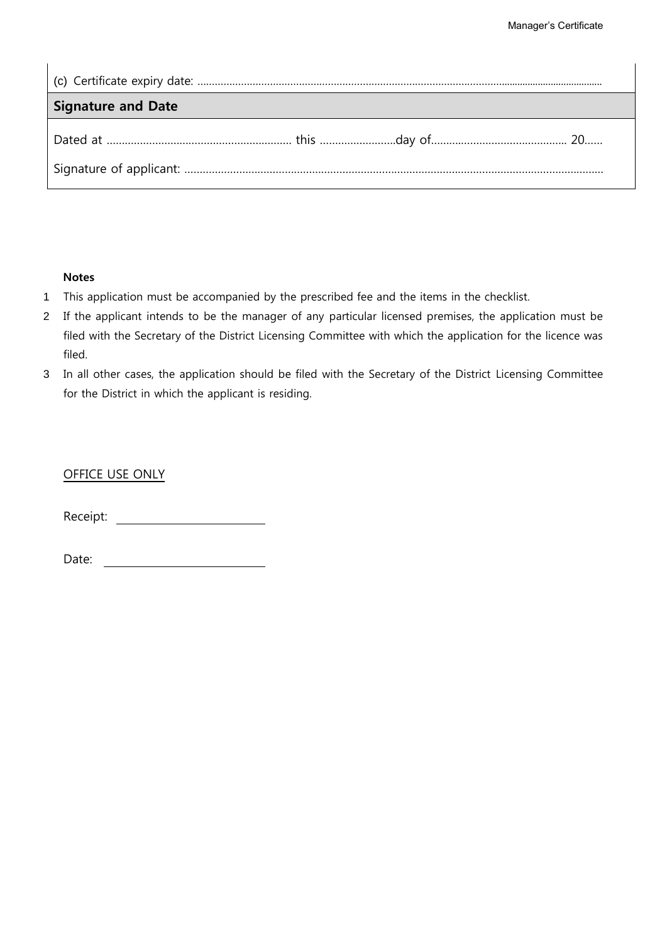| Signature and Date |  |  |
|--------------------|--|--|
|                    |  |  |
|                    |  |  |

## **Notes**

- 1 This application must be accompanied by the prescribed fee and the items in the checklist.
- 2 If the applicant intends to be the manager of any particular licensed premises, the application must be filed with the Secretary of the District Licensing Committee with which the application for the licence was filed.
- 3 In all other cases, the application should be filed with the Secretary of the District Licensing Committee for the District in which the applicant is residing.

OFFICE USE ONLY

Receipt: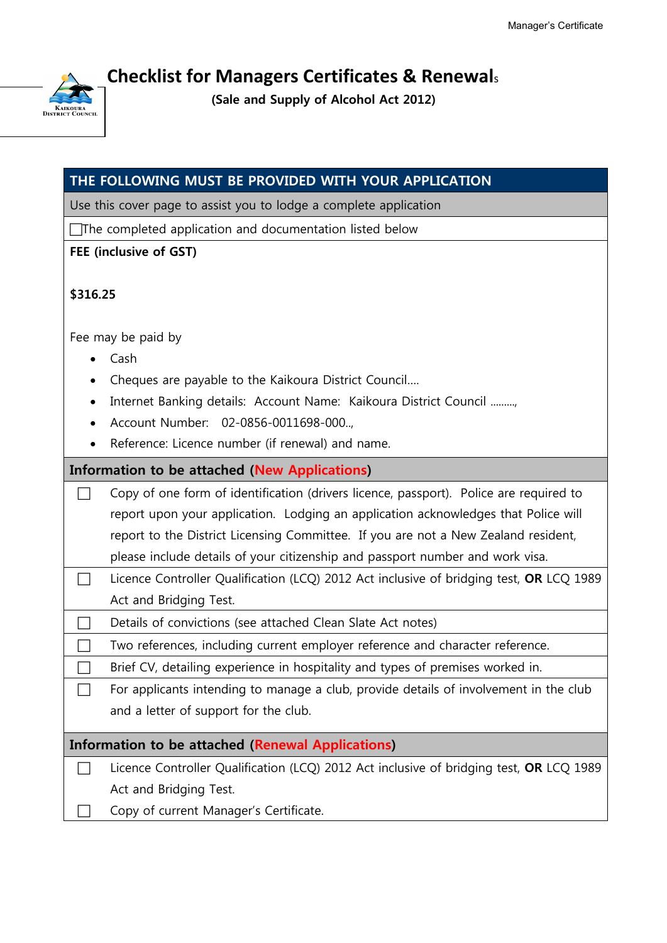

**Checklist for Managers Certificates & Renewal**<sup>s</sup>

**(Sale and Supply of Alcohol Act 2012)**

| THE FOLLOWING MUST BE PROVIDED WITH YOUR APPLICATION            |                                                                                         |  |  |  |
|-----------------------------------------------------------------|-----------------------------------------------------------------------------------------|--|--|--|
|                                                                 | Use this cover page to assist you to lodge a complete application                       |  |  |  |
| $\Box$ The completed application and documentation listed below |                                                                                         |  |  |  |
| FEE (inclusive of GST)                                          |                                                                                         |  |  |  |
| \$316.25                                                        |                                                                                         |  |  |  |
| Fee may be paid by                                              |                                                                                         |  |  |  |
|                                                                 | Cash                                                                                    |  |  |  |
|                                                                 | Cheques are payable to the Kaikoura District Council                                    |  |  |  |
|                                                                 | Internet Banking details: Account Name: Kaikoura District Council ,                     |  |  |  |
|                                                                 | Account Number: 02-0856-0011698-000.,                                                   |  |  |  |
|                                                                 | Reference: Licence number (if renewal) and name.                                        |  |  |  |
| <b>Information to be attached (New Applications)</b>            |                                                                                         |  |  |  |
|                                                                 | Copy of one form of identification (drivers licence, passport). Police are required to  |  |  |  |
|                                                                 | report upon your application. Lodging an application acknowledges that Police will      |  |  |  |
|                                                                 | report to the District Licensing Committee. If you are not a New Zealand resident,      |  |  |  |
|                                                                 | please include details of your citizenship and passport number and work visa.           |  |  |  |
|                                                                 | Licence Controller Qualification (LCQ) 2012 Act inclusive of bridging test, OR LCQ 1989 |  |  |  |
|                                                                 | Act and Bridging Test.                                                                  |  |  |  |
|                                                                 | Details of convictions (see attached Clean Slate Act notes)                             |  |  |  |
|                                                                 | Two references, including current employer reference and character reference.           |  |  |  |
|                                                                 | Brief CV, detailing experience in hospitality and types of premises worked in.          |  |  |  |
|                                                                 | For applicants intending to manage a club, provide details of involvement in the club   |  |  |  |
|                                                                 | and a letter of support for the club.                                                   |  |  |  |
| Information to be attached (Renewal Applications)               |                                                                                         |  |  |  |
|                                                                 | Licence Controller Qualification (LCQ) 2012 Act inclusive of bridging test, OR LCQ 1989 |  |  |  |
|                                                                 | Act and Bridging Test.                                                                  |  |  |  |
|                                                                 | Copy of current Manager's Certificate.                                                  |  |  |  |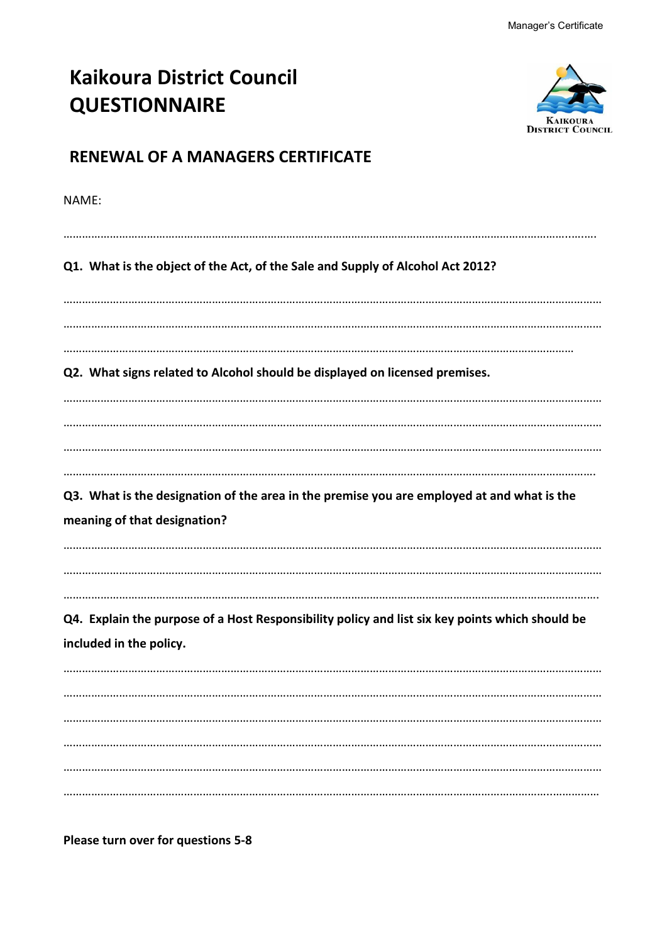| <b>Kaikoura District Council</b><br><b>QUESTIONNAIRE</b>                                                                   | <b>DISTRICT COUNCH</b> |
|----------------------------------------------------------------------------------------------------------------------------|------------------------|
| <b>RENEWAL OF A MANAGERS CERTIFICATE</b>                                                                                   |                        |
| NAMF:                                                                                                                      |                        |
| Q1. What is the object of the Act, of the Sale and Supply of Alcohol Act 2012?                                             |                        |
|                                                                                                                            |                        |
| Q2. What signs related to Alcohol should be displayed on licensed premises.                                                |                        |
|                                                                                                                            |                        |
| Q3. What is the designation of the area in the premise you are employed at and what is the<br>meaning of that designation? |                        |
| Q4. Explain the purpose of a Host Responsibility policy and list six key points which should be                            |                        |
| included in the policy.                                                                                                    |                        |
|                                                                                                                            |                        |
|                                                                                                                            |                        |
|                                                                                                                            |                        |
|                                                                                                                            |                        |

**Please turn over for questions 5-8**